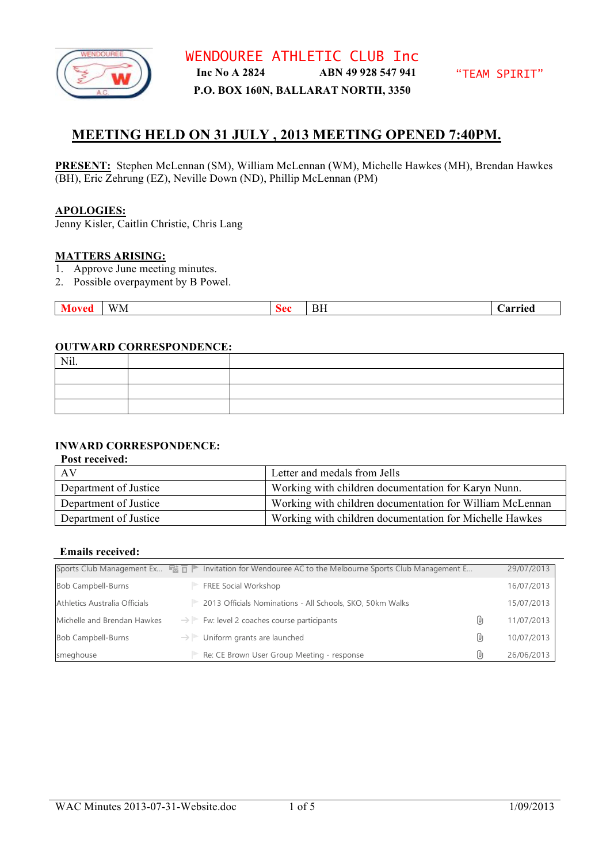

# **MEETING HELD ON 31 JULY , 2013 MEETING OPENED 7:40PM.**

**PRESENT:** Stephen McLennan (SM), William McLennan (WM), Michelle Hawkes (MH), Brendan Hawkes (BH), Eric Zehrung (EZ), Neville Down (ND), Phillip McLennan (PM)

#### **APOLOGIES:**

Jenny Kisler, Caitlin Christie, Chris Lang

#### **MATTERS ARISING:**

- 1. Approve June meeting minutes.
- 2. Possible overpayment by B Powel.

|  | ____<br>WM. | : A A | Bh | arried |
|--|-------------|-------|----|--------|
|--|-------------|-------|----|--------|

#### **OUTWARD CORRESPONDENCE:**

| Nil. |  |
|------|--|
|      |  |
|      |  |
|      |  |

#### **INWARD CORRESPONDENCE:**

**Post received:**

| AV                    | Letter and medals from Jells                             |
|-----------------------|----------------------------------------------------------|
| Department of Justice | Working with children documentation for Karyn Nunn.      |
| Department of Justice | Working with children documentation for William McLennan |
| Department of Justice | Working with children documentation for Michelle Hawkes  |

#### **Emails received:**

|                               | Sports Club Management Ex $\Xi$ $\bar{m}$ $\bar{m}$ Invitation for Wendouree AC to the Melbourne Sports Club Management E |     | 29/07/2013 |
|-------------------------------|---------------------------------------------------------------------------------------------------------------------------|-----|------------|
| Bob Campbell-Burns            | FREE Social Workshop                                                                                                      |     | 16/07/2013 |
| Athletics Australia Officials | 2013 Officials Nominations - All Schools, SKO, 50km Walks                                                                 |     | 15/07/2013 |
| Michelle and Brendan Hawkes   | $\rightarrow$ Fw: level 2 coaches course participants                                                                     | U   | 11/07/2013 |
| Bob Campbell-Burns            | $\rightarrow \parallel$ Uniform grants are launched                                                                       | (Uj | 10/07/2013 |
| smeghouse                     | Re: CE Brown User Group Meeting - response                                                                                | (Uj | 26/06/2013 |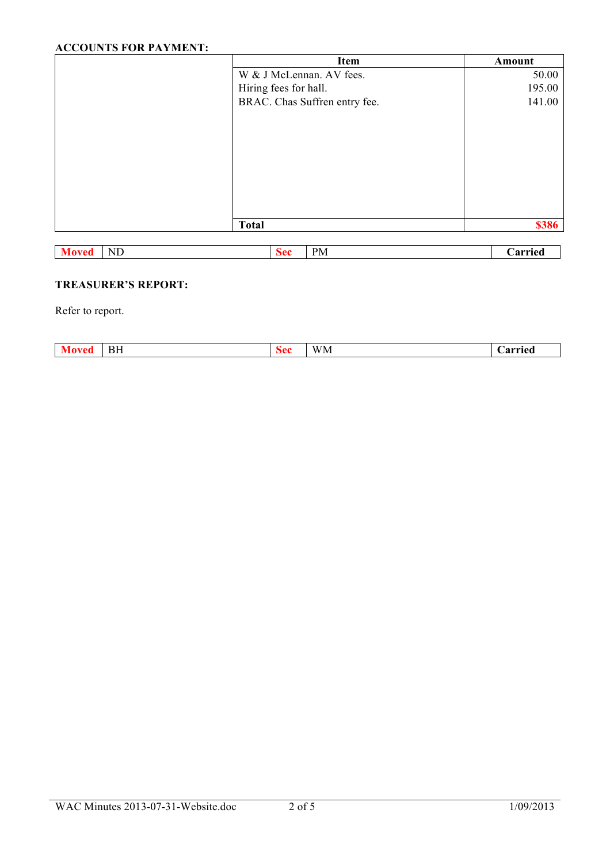# **ACCOUNTS FOR PAYMENT:**

| Item                          | Amount |
|-------------------------------|--------|
| W & J McLennan. AV fees.      | 50.00  |
| Hiring fees for hall.         | 195.00 |
| BRAC. Chas Suffren entry fee. | 141.00 |
|                               |        |
|                               |        |
|                               |        |
|                               |        |
|                               |        |
|                               |        |
|                               |        |
| <b>Total</b>                  | \$386  |
|                               |        |

| $\sim$<br>NL.<br>the contract of the contract of | - | $P_{\rm M}$ | arried |
|--------------------------------------------------|---|-------------|--------|
|                                                  |   |             |        |

# **TREASURER'S REPORT:**

Refer to report.

|  | ÐП | <br>WM | arried<br>. zi : |
|--|----|--------|------------------|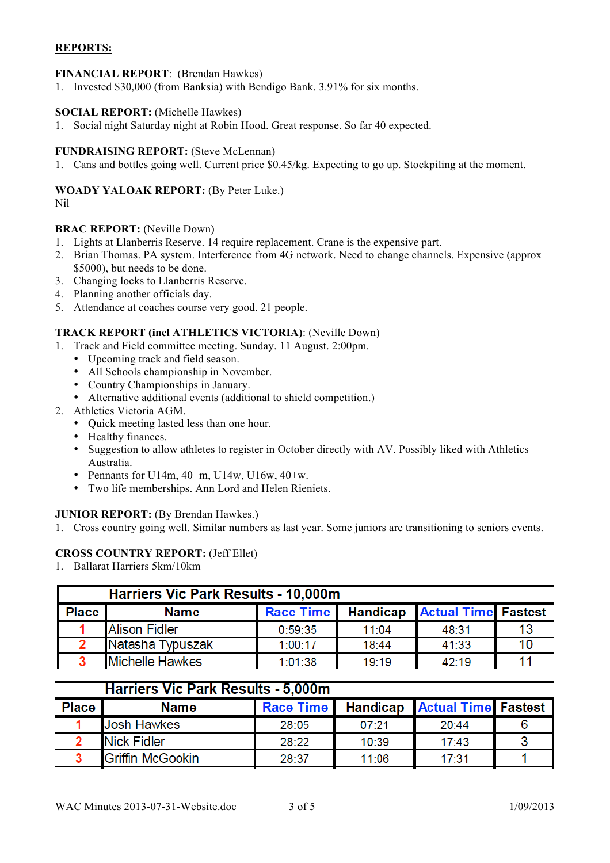# **REPORTS:**

### **FINANCIAL REPORT**: (Brendan Hawkes)

1. Invested \$30,000 (from Banksia) with Bendigo Bank. 3.91% for six months.

#### **SOCIAL REPORT:** (Michelle Hawkes)

1. Social night Saturday night at Robin Hood. Great response. So far 40 expected.

#### **FUNDRAISING REPORT:** (Steve McLennan)

1. Cans and bottles going well. Current price \$0.45/kg. Expecting to go up. Stockpiling at the moment.

#### **WOADY YALOAK REPORT:** (By Peter Luke.)

Nil

#### **BRAC REPORT:** (Neville Down)

- 1. Lights at Llanberris Reserve. 14 require replacement. Crane is the expensive part.
- 2. Brian Thomas. PA system. Interference from 4G network. Need to change channels. Expensive (approx \$5000), but needs to be done.
- 3. Changing locks to Llanberris Reserve.
- 4. Planning another officials day.
- 5. Attendance at coaches course very good. 21 people.

#### **TRACK REPORT (incl ATHLETICS VICTORIA)**: (Neville Down)

- 1. Track and Field committee meeting. Sunday. 11 August. 2:00pm.
	- Upcoming track and field season.
	- All Schools championship in November.
	- Country Championships in January.
	- Alternative additional events (additional to shield competition.)
- 2. Athletics Victoria AGM.
	- Ouick meeting lasted less than one hour.
	- Healthy finances.
	- Suggestion to allow athletes to register in October directly with AV. Possibly liked with Athletics Australia.
	- Pennants for U14m,  $40+m$ , U14w, U16w,  $40+w$ .
	- Two life memberships. Ann Lord and Helen Rieniets.

### **JUNIOR REPORT:** (By Brendan Hawkes.)

1. Cross country going well. Similar numbers as last year. Some juniors are transitioning to seniors events.

## **CROSS COUNTRY REPORT:** (Jeff Ellet)

1. Ballarat Harriers 5km/10km

|              | <b>Harriers Vic Park Results - 10,000m</b> |                  |       |                                     |    |  |  |
|--------------|--------------------------------------------|------------------|-------|-------------------------------------|----|--|--|
| <b>Place</b> | Name                                       | <b>Race Time</b> |       | <b>Handicap Actual Time Fastest</b> |    |  |  |
|              | <b>Alison Fidler</b>                       | 0:59:35          | 11:04 | 48:31                               | 13 |  |  |
|              | Natasha Typuszak                           | 1:00:17          | 18:44 | 41:33                               | 10 |  |  |
|              | <b>Michelle Hawkes</b>                     | 1:01:38          | 19:19 | 42:19                               | 11 |  |  |

#### **Harriers Vic Park Results - 5,000m Place Name Handicap Actual Time Fastest Race Time**  $\overline{\mathbf{1}}$ **Josh Hawkes**  $07:21$ 6 28:05  $20:44$ **Nick Fidler** 3  $\overline{2}$ 28:22 10:39  $17:43$ 1 3 **Griffin McGookin** 28:37 11:06  $17:31$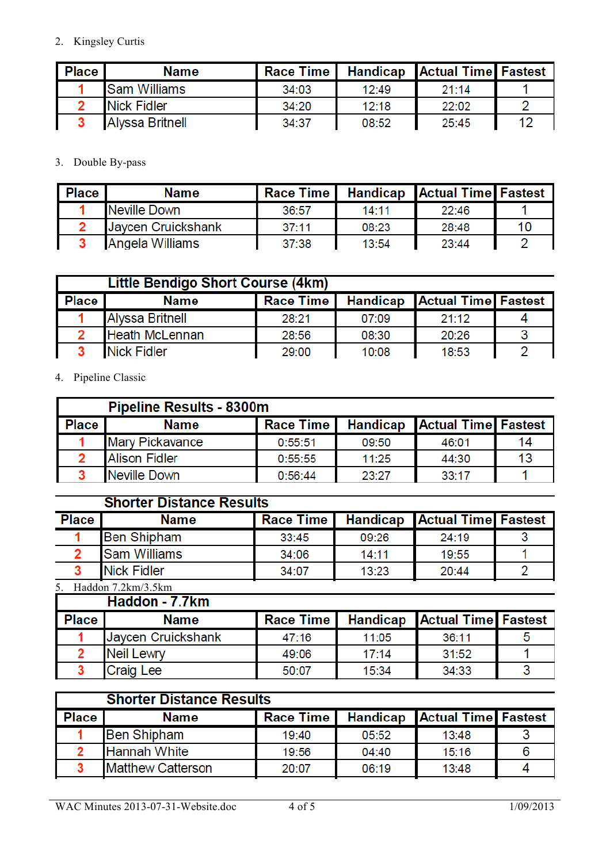2. Kingsley Curtis

| Place | Name                   | <b>Race Time I</b> |       | <b>Handicap Actual Time Fastest</b> |    |
|-------|------------------------|--------------------|-------|-------------------------------------|----|
|       | <b>Sam Williams</b>    | 34:03              | 12:49 | 21:14                               |    |
|       | <b>Nick Fidler</b>     | 34:20              | 12:18 | 22:02                               |    |
|       | <b>Alyssa Britnell</b> | 34:37              | 08:52 | 25:45                               | 12 |

3. Double By-pass

| Place. | <b>Name</b>        | <b>Race Time I</b> |       | <b>Handicap Actual Time Fastest</b> |    |
|--------|--------------------|--------------------|-------|-------------------------------------|----|
|        | Neville Down       | 36:57              | 14:11 | 22:46                               |    |
|        | Javcen Cruickshank | 37:11              | 08:23 | 28:48                               | 10 |
|        | Angela Williams    | 37:38              | 13:54 | 23:44                               |    |

|              | Little Bendigo Short Course (4km) |                  |       |                                     |  |  |
|--------------|-----------------------------------|------------------|-------|-------------------------------------|--|--|
| <b>Place</b> | <b>Name</b>                       | <b>Race Time</b> |       | <b>Handicap Actual Time Fastest</b> |  |  |
|              | <b>Alyssa Britnell</b>            | 28:21            | 07:09 | 21:12                               |  |  |
|              | <b>Heath McLennan</b>             | 28:56            | 08:30 | 20:26                               |  |  |
|              | <b>Nick Fidler</b>                | 29:00            | 10:08 | 18:53                               |  |  |

4. Pipeline Classic

|              | <b>Pipeline Results - 8300m</b> |                  |       |                                     |    |  |
|--------------|---------------------------------|------------------|-------|-------------------------------------|----|--|
| <b>Place</b> | <b>Name</b>                     | <b>Race Time</b> |       | <b>Handicap Actual Time Fastest</b> |    |  |
|              | <b>Mary Pickavance</b>          | 0:55:51          | 09:50 | 46:01                               | 14 |  |
|              | <b>Alison Fidler</b>            | 0:55:55          | 11:25 | 44:30                               | 13 |  |
|              | Neville Down                    | 0:56:44          | 23:27 | 33:17                               |    |  |

# **Shorter Distance Results**

| <b>Place</b> | <b>Name</b>         | <b>Race Time I</b> |       | <b>Handicap Actual Time Fastest</b> |  |
|--------------|---------------------|--------------------|-------|-------------------------------------|--|
|              | <b>Ben Shipham</b>  | 33:45              | 09:26 | 24:19                               |  |
|              | <b>Sam Williams</b> | 34:06              | 14:11 | 19:55                               |  |
|              | <b>Nick Fidler</b>  | 34:07              | 13:23 | 20:44                               |  |

5. Haddon  $7.2 \text{km}/3.5 \text{km}$ <br> $\overline{1.2 \text{d} \cdot \text{d} \cdot \text{d} \cdot \text{d} \cdot \text{d} \cdot \text{d} \cdot \text{d} \cdot \text{d} \cdot \text{d} \cdot \text{d} \cdot \text{d} \cdot \text{d} \cdot \text{d} \cdot \text{d} \cdot \text{d} \cdot \text{d} \cdot \text{d} \cdot \text{d} \cdot \text{d} \cdot \text{d} \cdot \text{d} \cdot \text{d} \cdot \text{d} \cdot \text{d} \cdot \text{d} \cdot \text{d} \cdot \text$ 

| <b>Place</b> | <b>Name</b>        | <b>Race Time</b> |       | <b>Handicap</b> Actual Time <b>Fastest</b> |  |
|--------------|--------------------|------------------|-------|--------------------------------------------|--|
|              | Jaycen Cruickshank | 47:16            | 11:05 | 36:11                                      |  |
|              | <b>Neil Lewry</b>  | 49:06            | 17:14 | 31:52                                      |  |
|              | <b>Craig Lee</b>   | 50:07            | 15:34 | 34:33                                      |  |

| <b>Shorter Distance Results</b> |                          |                  |       |                                     |  |
|---------------------------------|--------------------------|------------------|-------|-------------------------------------|--|
| <b>Place</b>                    | <b>Name</b>              | <b>Race Time</b> |       | <b>Handicap Actual Time Fastest</b> |  |
|                                 | <b>Ben Shipham</b>       | 19:40            | 05:52 | 13:48                               |  |
|                                 | <b>Hannah White</b>      | 19:56            | 04:40 | 15:16                               |  |
|                                 | <b>Matthew Catterson</b> | 20:07            | 06:19 | 13:48                               |  |